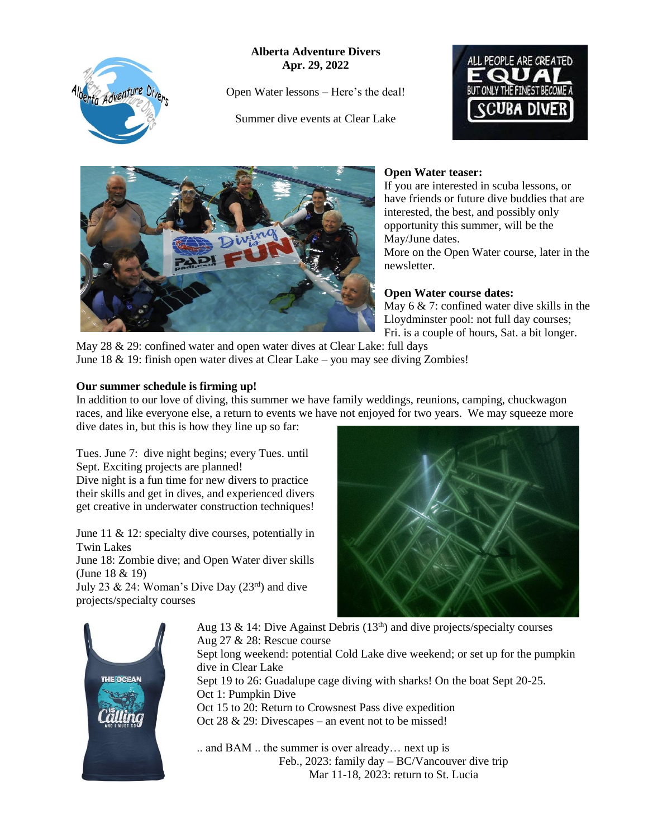Adventure Divers

**Alberta Adventure Divers Apr. 29, 2022**

Open Water lessons – Here's the deal!

Summer dive events at Clear Lake





# **Open Water teaser:**

If you are interested in scuba lessons, or have friends or future dive buddies that are interested, the best, and possibly only opportunity this summer, will be the May/June dates.

More on the Open Water course, later in the newsletter.

### **Open Water course dates:**

May 6 & 7: confined water dive skills in the Lloydminster pool: not full day courses; Fri. is a couple of hours, Sat. a bit longer.

May 28 & 29: confined water and open water dives at Clear Lake: full days June 18 & 19: finish open water dives at Clear Lake – you may see diving Zombies!

#### **Our summer schedule is firming up!**

In addition to our love of diving, this summer we have family weddings, reunions, camping, chuckwagon races, and like everyone else, a return to events we have not enjoyed for two years. We may squeeze more dive dates in, but this is how they line up so far:

Tues. June 7: dive night begins; every Tues. until Sept. Exciting projects are planned!

Dive night is a fun time for new divers to practice their skills and get in dives, and experienced divers get creative in underwater construction techniques!

June 11 & 12: specialty dive courses, potentially in Twin Lakes

June 18: Zombie dive; and Open Water diver skills (June 18 & 19)

July 23 & 24: Woman's Dive Day  $(23<sup>rd</sup>)$  and dive projects/specialty courses





Aug 13 & 14: Dive Against Debris  $(13<sup>th</sup>)$  and dive projects/specialty courses Aug 27 & 28: Rescue course Sept long weekend: potential Cold Lake dive weekend; or set up for the pumpkin dive in Clear Lake Sept 19 to 26: Guadalupe cage diving with sharks! On the boat Sept 20-25. Oct 1: Pumpkin Dive Oct 15 to 20: Return to Crowsnest Pass dive expedition Oct 28 & 29: Divescapes – an event not to be missed!

.. and BAM .. the summer is over already… next up is Feb., 2023: family day – BC/Vancouver dive trip Mar 11-18, 2023: return to St. Lucia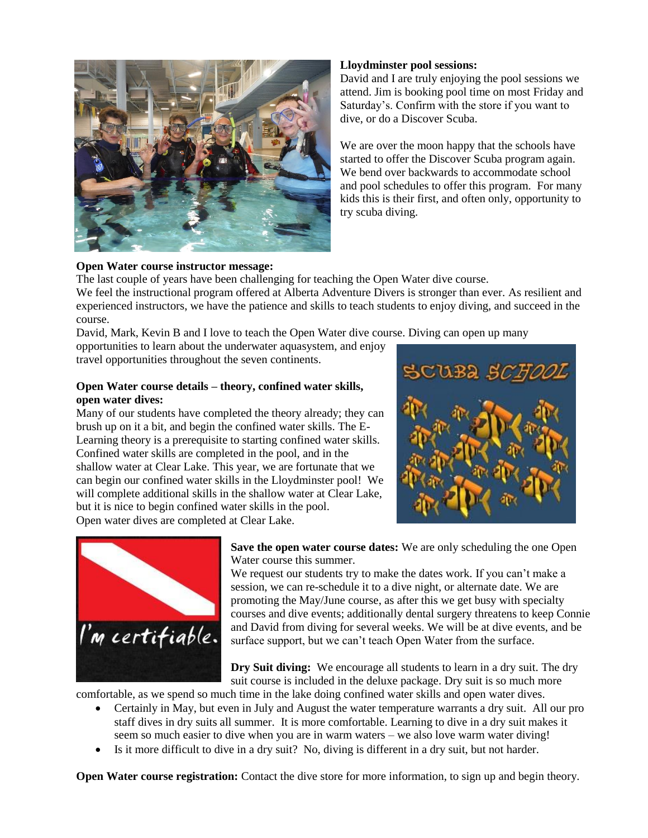

### **Lloydminster pool sessions:**

David and I are truly enjoying the pool sessions we attend. Jim is booking pool time on most Friday and Saturday's. Confirm with the store if you want to dive, or do a Discover Scuba.

We are over the moon happy that the schools have started to offer the Discover Scuba program again. We bend over backwards to accommodate school and pool schedules to offer this program. For many kids this is their first, and often only, opportunity to try scuba diving.

## **Open Water course instructor message:**

The last couple of years have been challenging for teaching the Open Water dive course. We feel the instructional program offered at Alberta Adventure Divers is stronger than ever. As resilient and experienced instructors, we have the patience and skills to teach students to enjoy diving, and succeed in the course.

David, Mark, Kevin B and I love to teach the Open Water dive course. Diving can open up many

opportunities to learn about the underwater aquasystem, and enjoy travel opportunities throughout the seven continents.

#### **Open Water course details – theory, confined water skills, open water dives:**

Many of our students have completed the theory already; they can brush up on it a bit, and begin the confined water skills. The E-Learning theory is a prerequisite to starting confined water skills. Confined water skills are completed in the pool, and in the shallow water at Clear Lake. This year, we are fortunate that we can begin our confined water skills in the Lloydminster pool! We will complete additional skills in the shallow water at Clear Lake, but it is nice to begin confined water skills in the pool. Open water dives are completed at Clear Lake.





**Save the open water course dates:** We are only scheduling the one Open Water course this summer.

We request our students try to make the dates work. If you can't make a session, we can re-schedule it to a dive night, or alternate date. We are promoting the May/June course, as after this we get busy with specialty courses and dive events; additionally dental surgery threatens to keep Connie and David from diving for several weeks. We will be at dive events, and be surface support, but we can't teach Open Water from the surface.

**Dry Suit diving:** We encourage all students to learn in a dry suit. The dry suit course is included in the deluxe package. Dry suit is so much more

comfortable, as we spend so much time in the lake doing confined water skills and open water dives.

- Certainly in May, but even in July and August the water temperature warrants a dry suit. All our pro staff dives in dry suits all summer. It is more comfortable. Learning to dive in a dry suit makes it seem so much easier to dive when you are in warm waters – we also love warm water diving!
- Is it more difficult to dive in a dry suit? No, diving is different in a dry suit, but not harder.

**Open Water course registration:** Contact the dive store for more information, to sign up and begin theory.